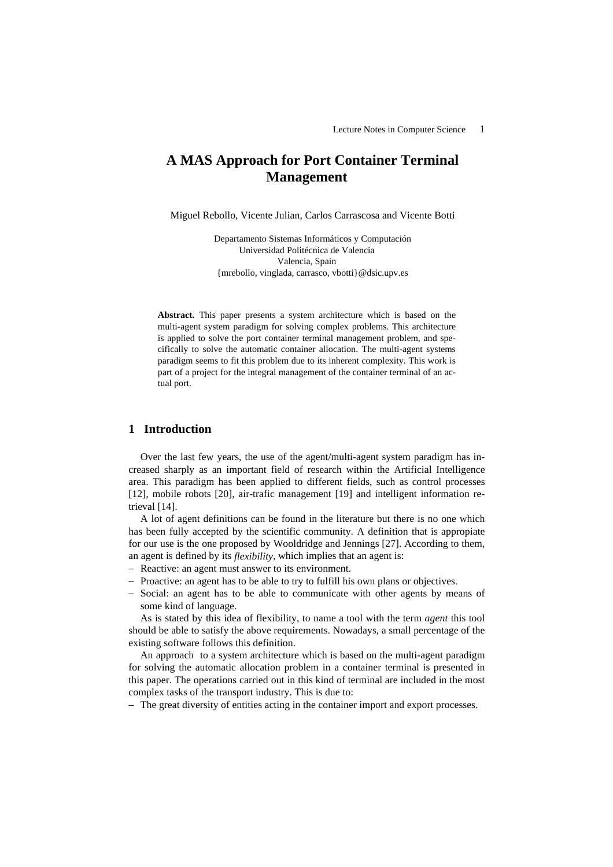# **A MAS Approach for Port Container Terminal Management**

Miguel Rebollo, Vicente Julian, Carlos Carrascosa and Vicente Botti

Departamento Sistemas Informáticos y Computación Universidad Politécnica de Valencia Valencia, Spain {mrebollo, vinglada, carrasco, vbotti}@dsic.upv.es

**Abstract.** This paper presents a system architecture which is based on the multi-agent system paradigm for solving complex problems. This architecture is applied to solve the port container terminal management problem, and specifically to solve the automatic container allocation. The multi-agent systems paradigm seems to fit this problem due to its inherent complexity. This work is part of a project for the integral management of the container terminal of an actual port.

## **1 Introduction**

Over the last few years, the use of the agent/multi-agent system paradigm has increased sharply as an important field of research within the Artificial Intelligence area. This paradigm has been applied to different fields, such as control processes [12], mobile robots [20], air-trafic management [19] and intelligent information retrieval [14].

A lot of agent definitions can be found in the literature but there is no one which has been fully accepted by the scientific community. A definition that is appropiate for our use is the one proposed by Wooldridge and Jennings [27]. According to them, an agent is defined by its *flexibility*, which implies that an agent is:

- − Reactive: an agent must answer to its environment.
- − Proactive: an agent has to be able to try to fulfill his own plans or objectives.
- − Social: an agent has to be able to communicate with other agents by means of some kind of language.

As is stated by this idea of flexibility, to name a tool with the term *agent* this tool should be able to satisfy the above requirements. Nowadays, a small percentage of the existing software follows this definition.

An approach to a system architecture which is based on the multi-agent paradigm for solving the automatic allocation problem in a container terminal is presented in this paper. The operations carried out in this kind of terminal are included in the most complex tasks of the transport industry. This is due to:

− The great diversity of entities acting in the container import and export processes.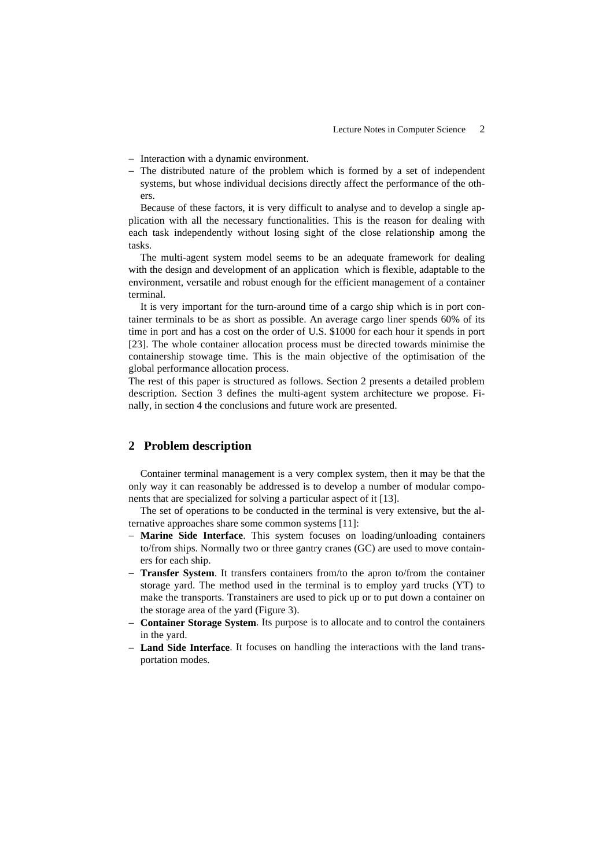- − Interaction with a dynamic environment.
- − The distributed nature of the problem which is formed by a set of independent systems, but whose individual decisions directly affect the performance of the others.

Because of these factors, it is very difficult to analyse and to develop a single application with all the necessary functionalities. This is the reason for dealing with each task independently without losing sight of the close relationship among the tasks.

The multi-agent system model seems to be an adequate framework for dealing with the design and development of an application which is flexible, adaptable to the environment, versatile and robust enough for the efficient management of a container terminal.

It is very important for the turn-around time of a cargo ship which is in port container terminals to be as short as possible. An average cargo liner spends 60% of its time in port and has a cost on the order of U.S. \$1000 for each hour it spends in port [23]. The whole container allocation process must be directed towards minimise the containership stowage time. This is the main objective of the optimisation of the global performance allocation process.

The rest of this paper is structured as follows. Section 2 presents a detailed problem description. Section 3 defines the multi-agent system architecture we propose. Finally, in section 4 the conclusions and future work are presented.

## **2 Problem description**

Container terminal management is a very complex system, then it may be that the only way it can reasonably be addressed is to develop a number of modular components that are specialized for solving a particular aspect of it [13].

The set of operations to be conducted in the terminal is very extensive, but the alternative approaches share some common systems [11]:

- **Marine Side Interface**. This system focuses on loading/unloading containers to/from ships. Normally two or three gantry cranes (GC) are used to move containers for each ship.
- − **Transfer System**. It transfers containers from/to the apron to/from the container storage yard. The method used in the terminal is to employ yard trucks (YT) to make the transports. Transtainers are used to pick up or to put down a container on the storage area of the yard (Figure 3).
- − **Container Storage System**. Its purpose is to allocate and to control the containers in the yard.
- − **Land Side Interface**. It focuses on handling the interactions with the land transportation modes.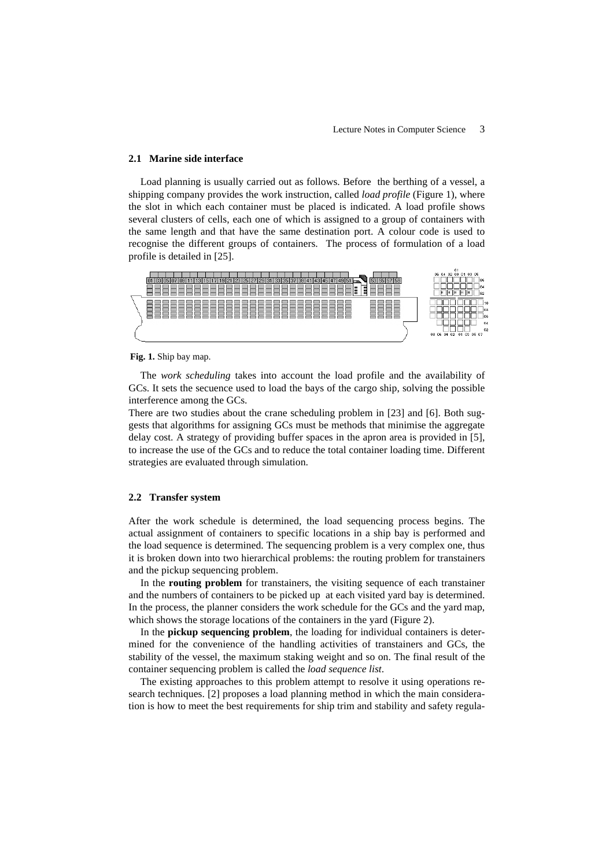### **2.1 Marine side interface**

Load planning is usually carried out as follows. Before the berthing of a vessel, a shipping company provides the work instruction, called *load profile* (Figure 1), where the slot in which each container must be placed is indicated. A load profile shows several clusters of cells, each one of which is assigned to a group of containers with the same length and that have the same destination port. A colour code is used to recognise the different groups of containers. The process of formulation of a load profile is detailed in [25].



#### **Fig. 1.** Ship bay map.

The *work scheduling* takes into account the load profile and the availability of GCs. It sets the secuence used to load the bays of the cargo ship, solving the possible interference among the GCs.

There are two studies about the crane scheduling problem in [23] and [6]. Both suggests that algorithms for assigning GCs must be methods that minimise the aggregate delay cost. A strategy of providing buffer spaces in the apron area is provided in [5], to increase the use of the GCs and to reduce the total container loading time. Different strategies are evaluated through simulation.

#### **2.2 Transfer system**

After the work schedule is determined, the load sequencing process begins. The actual assignment of containers to specific locations in a ship bay is performed and the load sequence is determined. The sequencing problem is a very complex one, thus it is broken down into two hierarchical problems: the routing problem for transtainers and the pickup sequencing problem.

In the **routing problem** for transtainers, the visiting sequence of each transtainer and the numbers of containers to be picked up at each visited yard bay is determined. In the process, the planner considers the work schedule for the GCs and the yard map, which shows the storage locations of the containers in the yard (Figure 2).

In the **pickup sequencing problem**, the loading for individual containers is determined for the convenience of the handling activities of transtainers and GCs, the stability of the vessel, the maximum staking weight and so on. The final result of the container sequencing problem is called the *load sequence list*.

The existing approaches to this problem attempt to resolve it using operations research techniques. [2] proposes a load planning method in which the main consideration is how to meet the best requirements for ship trim and stability and safety regula-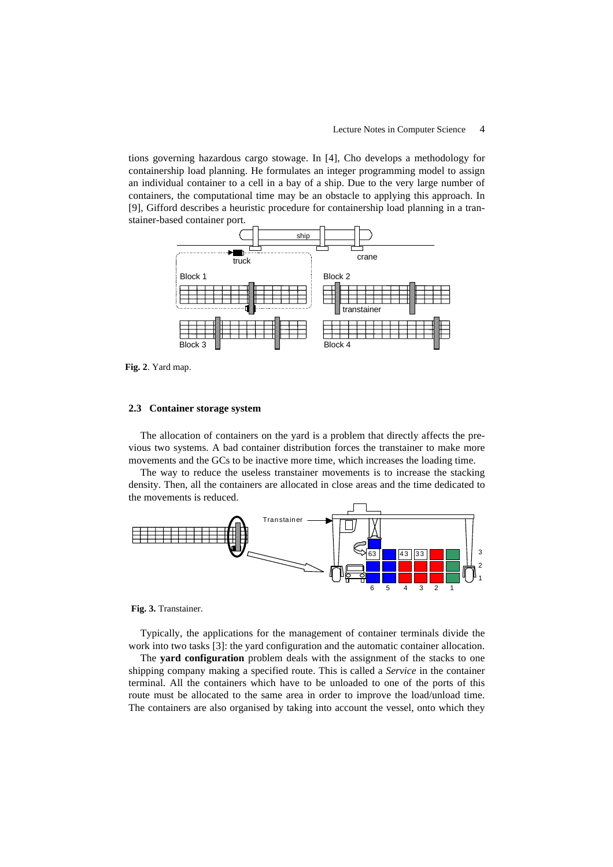tions governing hazardous cargo stowage. In [4], Cho develops a methodology for containership load planning. He formulates an integer programming model to assign an individual container to a cell in a bay of a ship. Due to the very large number of containers, the computational time may be an obstacle to applying this approach. In [9], Gifford describes a heuristic procedure for containership load planning in a transtainer-based container port.



**Fig. 2**. Yard map.

#### **2.3 Container storage system**

The allocation of containers on the yard is a problem that directly affects the previous two systems. A bad container distribution forces the transtainer to make more movements and the GCs to be inactive more time, which increases the loading time.

The way to reduce the useless transtainer movements is to increase the stacking density. Then, all the containers are allocated in close areas and the time dedicated to the movements is reduced.



**Fig. 3.** Transtainer.

Typically, the applications for the management of container terminals divide the work into two tasks [3]: the yard configuration and the automatic container allocation.

The **yard configuration** problem deals with the assignment of the stacks to one shipping company making a specified route. This is called a *Service* in the container terminal. All the containers which have to be unloaded to one of the ports of this route must be allocated to the same area in order to improve the load/unload time. The containers are also organised by taking into account the vessel, onto which they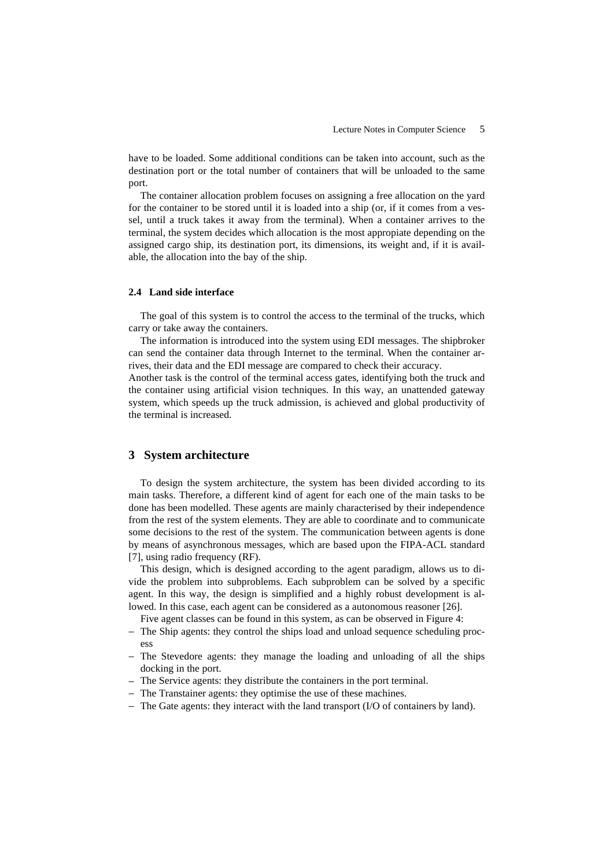have to be loaded. Some additional conditions can be taken into account, such as the destination port or the total number of containers that will be unloaded to the same port.

The container allocation problem focuses on assigning a free allocation on the yard for the container to be stored until it is loaded into a ship (or, if it comes from a vessel, until a truck takes it away from the terminal). When a container arrives to the terminal, the system decides which allocation is the most appropiate depending on the assigned cargo ship, its destination port, its dimensions, its weight and, if it is available, the allocation into the bay of the ship.

#### **2.4 Land side interface**

The goal of this system is to control the access to the terminal of the trucks, which carry or take away the containers.

The information is introduced into the system using EDI messages. The shipbroker can send the container data through Internet to the terminal. When the container arrives, their data and the EDI message are compared to check their accuracy.

Another task is the control of the terminal access gates, identifying both the truck and the container using artificial vision techniques. In this way, an unattended gateway system, which speeds up the truck admission, is achieved and global productivity of the terminal is increased.

## **3 System architecture**

To design the system architecture, the system has been divided according to its main tasks. Therefore, a different kind of agent for each one of the main tasks to be done has been modelled. These agents are mainly characterised by their independence from the rest of the system elements. They are able to coordinate and to communicate some decisions to the rest of the system. The communication between agents is done by means of asynchronous messages, which are based upon the FIPA-ACL standard [7], using radio frequency (RF).

This design, which is designed according to the agent paradigm, allows us to divide the problem into subproblems. Each subproblem can be solved by a specific agent. In this way, the design is simplified and a highly robust development is allowed. In this case, each agent can be considered as a autonomous reasoner [26].

Five agent classes can be found in this system, as can be observed in Figure 4:

- − The Ship agents: they control the ships load and unload sequence scheduling process
- − The Stevedore agents: they manage the loading and unloading of all the ships docking in the port.
- − The Service agents: they distribute the containers in the port terminal.
- − The Transtainer agents: they optimise the use of these machines.
- − The Gate agents: they interact with the land transport (I/O of containers by land).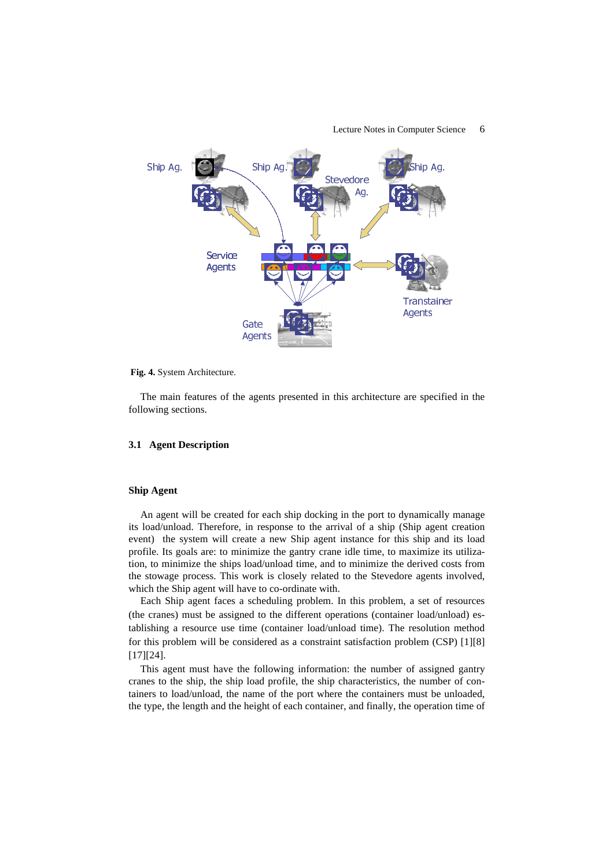

Lecture Notes in Computer Science 6

#### **Fig. 4.** System Architecture.

The main features of the agents presented in this architecture are specified in the following sections.

#### **3.1 Agent Description**

### **Ship Agent**

An agent will be created for each ship docking in the port to dynamically manage its load/unload. Therefore, in response to the arrival of a ship (Ship agent creation event) the system will create a new Ship agent instance for this ship and its load profile. Its goals are: to minimize the gantry crane idle time, to maximize its utilization, to minimize the ships load/unload time, and to minimize the derived costs from the stowage process. This work is closely related to the Stevedore agents involved, which the Ship agent will have to co-ordinate with.

Each Ship agent faces a scheduling problem. In this problem, a set of resources (the cranes) must be assigned to the different operations (container load/unload) establishing a resource use time (container load/unload time). The resolution method for this problem will be considered as a constraint satisfaction problem (CSP) [1][8] [17][24].

This agent must have the following information: the number of assigned gantry cranes to the ship, the ship load profile, the ship characteristics, the number of containers to load/unload, the name of the port where the containers must be unloaded, the type, the length and the height of each container, and finally, the operation time of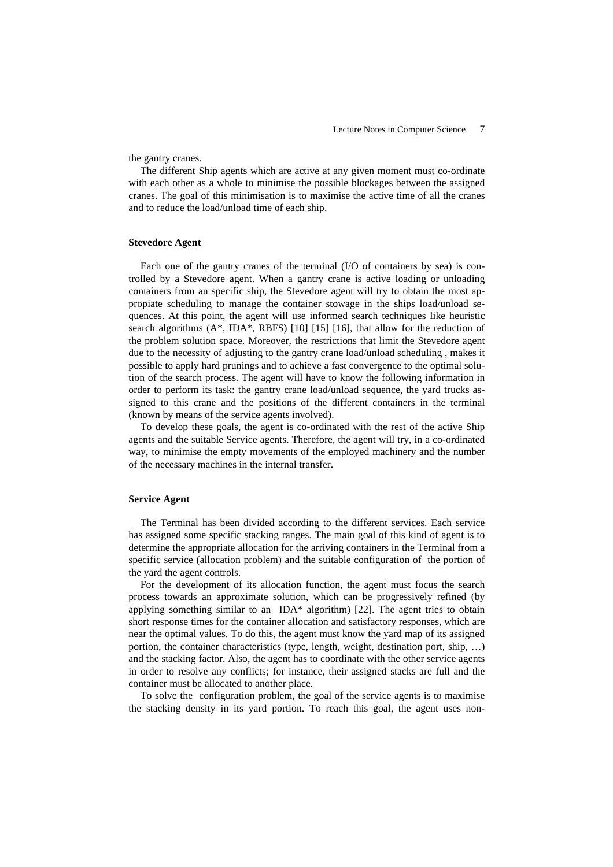the gantry cranes.

The different Ship agents which are active at any given moment must co-ordinate with each other as a whole to minimise the possible blockages between the assigned cranes. The goal of this minimisation is to maximise the active time of all the cranes and to reduce the load/unload time of each ship.

### **Stevedore Agent**

Each one of the gantry cranes of the terminal (I/O of containers by sea) is controlled by a Stevedore agent. When a gantry crane is active loading or unloading containers from an specific ship, the Stevedore agent will try to obtain the most appropiate scheduling to manage the container stowage in the ships load/unload sequences. At this point, the agent will use informed search techniques like heuristic search algorithms  $(A^*, IDA^*, RBFS)$  [10] [15] [16], that allow for the reduction of the problem solution space. Moreover, the restrictions that limit the Stevedore agent due to the necessity of adjusting to the gantry crane load/unload scheduling , makes it possible to apply hard prunings and to achieve a fast convergence to the optimal solution of the search process. The agent will have to know the following information in order to perform its task: the gantry crane load/unload sequence, the yard trucks assigned to this crane and the positions of the different containers in the terminal (known by means of the service agents involved).

To develop these goals, the agent is co-ordinated with the rest of the active Ship agents and the suitable Service agents. Therefore, the agent will try, in a co-ordinated way, to minimise the empty movements of the employed machinery and the number of the necessary machines in the internal transfer.

#### **Service Agent**

The Terminal has been divided according to the different services. Each service has assigned some specific stacking ranges. The main goal of this kind of agent is to determine the appropriate allocation for the arriving containers in the Terminal from a specific service (allocation problem) and the suitable configuration of the portion of the yard the agent controls.

For the development of its allocation function, the agent must focus the search process towards an approximate solution, which can be progressively refined (by applying something similar to an IDA\* algorithm) [22]. The agent tries to obtain short response times for the container allocation and satisfactory responses, which are near the optimal values. To do this, the agent must know the yard map of its assigned portion, the container characteristics (type, length, weight, destination port, ship, …) and the stacking factor. Also, the agent has to coordinate with the other service agents in order to resolve any conflicts; for instance, their assigned stacks are full and the container must be allocated to another place.

To solve the configuration problem, the goal of the service agents is to maximise the stacking density in its yard portion. To reach this goal, the agent uses non-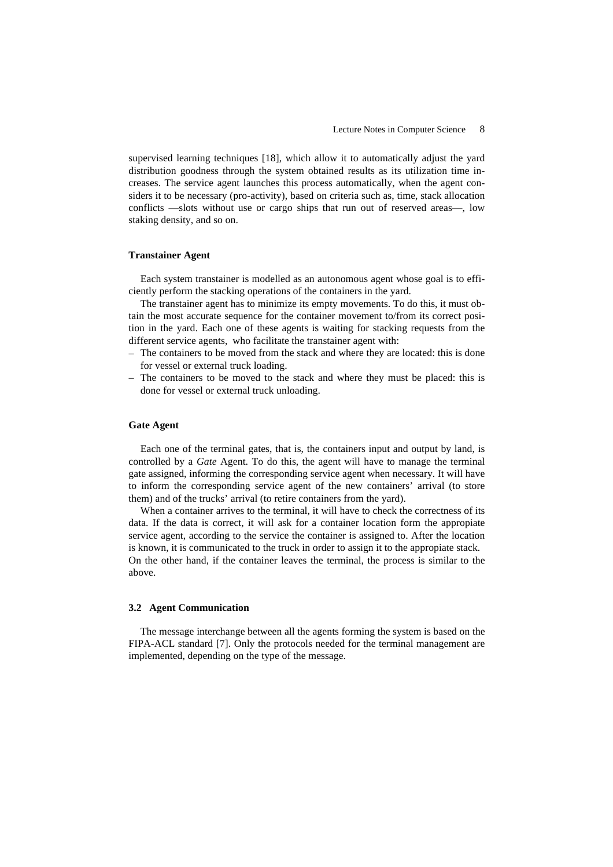supervised learning techniques [18], which allow it to automatically adjust the yard distribution goodness through the system obtained results as its utilization time increases. The service agent launches this process automatically, when the agent considers it to be necessary (pro-activity), based on criteria such as, time, stack allocation conflicts —slots without use or cargo ships that run out of reserved areas—, low staking density, and so on.

#### **Transtainer Agent**

Each system transtainer is modelled as an autonomous agent whose goal is to efficiently perform the stacking operations of the containers in the yard.

The transtainer agent has to minimize its empty movements. To do this, it must obtain the most accurate sequence for the container movement to/from its correct position in the yard. Each one of these agents is waiting for stacking requests from the different service agents, who facilitate the transtainer agent with:

- − The containers to be moved from the stack and where they are located: this is done for vessel or external truck loading.
- − The containers to be moved to the stack and where they must be placed: this is done for vessel or external truck unloading.

## **Gate Agent**

Each one of the terminal gates, that is, the containers input and output by land, is controlled by a *Gate* Agent. To do this, the agent will have to manage the terminal gate assigned, informing the corresponding service agent when necessary. It will have to inform the corresponding service agent of the new containers' arrival (to store them) and of the trucks' arrival (to retire containers from the yard).

When a container arrives to the terminal, it will have to check the correctness of its data. If the data is correct, it will ask for a container location form the appropiate service agent, according to the service the container is assigned to. After the location is known, it is communicated to the truck in order to assign it to the appropiate stack. On the other hand, if the container leaves the terminal, the process is similar to the above.

#### **3.2 Agent Communication**

The message interchange between all the agents forming the system is based on the FIPA-ACL standard [7]. Only the protocols needed for the terminal management are implemented, depending on the type of the message.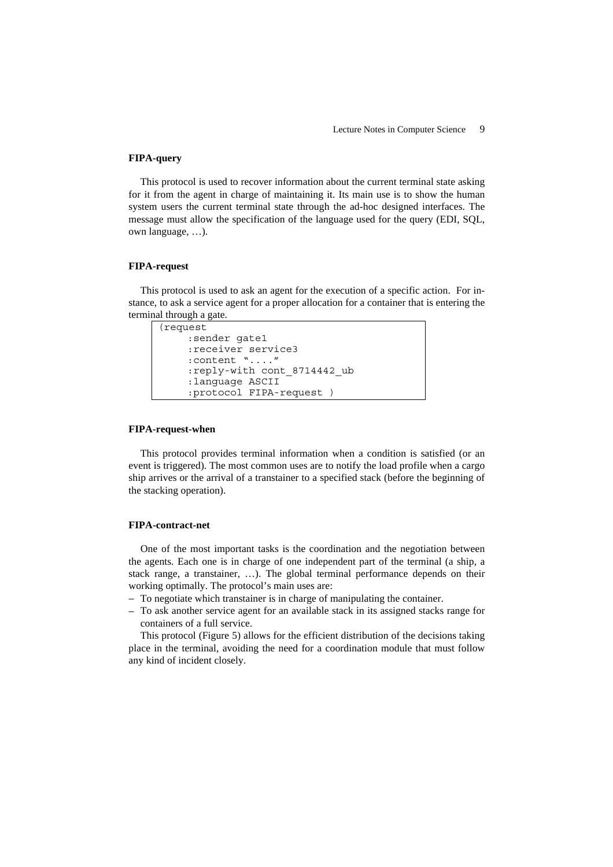#### **FIPA-query**

This protocol is used to recover information about the current terminal state asking for it from the agent in charge of maintaining it. Its main use is to show the human system users the current terminal state through the ad-hoc designed interfaces. The message must allow the specification of the language used for the query (EDI, SQL, own language, …).

## **FIPA-request**

This protocol is used to ask an agent for the execution of a specific action. For instance, to ask a service agent for a proper allocation for a container that is entering the terminal through a gate.

```
(request 
:sender gate1 
:receiver service3 
:content "...." 
:reply-with cont_8714442_ub 
:language ASCII 
:protocol FIPA-request )
```
#### **FIPA-request-when**

This protocol provides terminal information when a condition is satisfied (or an event is triggered). The most common uses are to notify the load profile when a cargo ship arrives or the arrival of a transtainer to a specified stack (before the beginning of the stacking operation).

#### **FIPA-contract-net**

One of the most important tasks is the coordination and the negotiation between the agents. Each one is in charge of one independent part of the terminal (a ship, a stack range, a transtainer, …). The global terminal performance depends on their working optimally. The protocol's main uses are:

- − To negotiate which transtainer is in charge of manipulating the container.
- − To ask another service agent for an available stack in its assigned stacks range for containers of a full service.

This protocol (Figure 5) allows for the efficient distribution of the decisions taking place in the terminal, avoiding the need for a coordination module that must follow any kind of incident closely.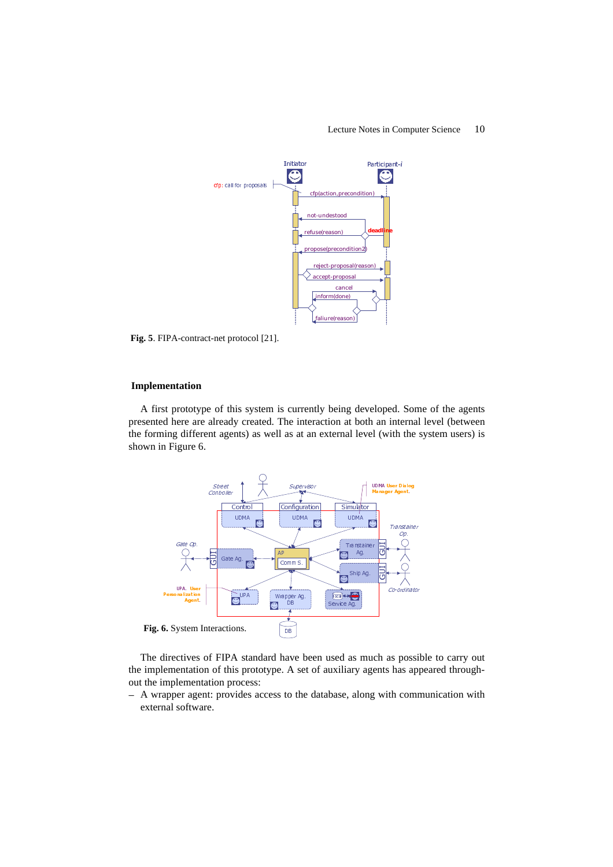

**Fig. 5**. FIPA-contract-net protocol [21].

## **Implementation**

A first prototype of this system is currently being developed. Some of the agents presented here are already created. The interaction at both an internal level (between the forming different agents) as well as at an external level (with the system users) is shown in Figure 6.



The directives of FIPA standard have been used as much as possible to carry out the implementation of this prototype. A set of auxiliary agents has appeared throughout the implementation process:

− A wrapper agent: provides access to the database, along with communication with external software.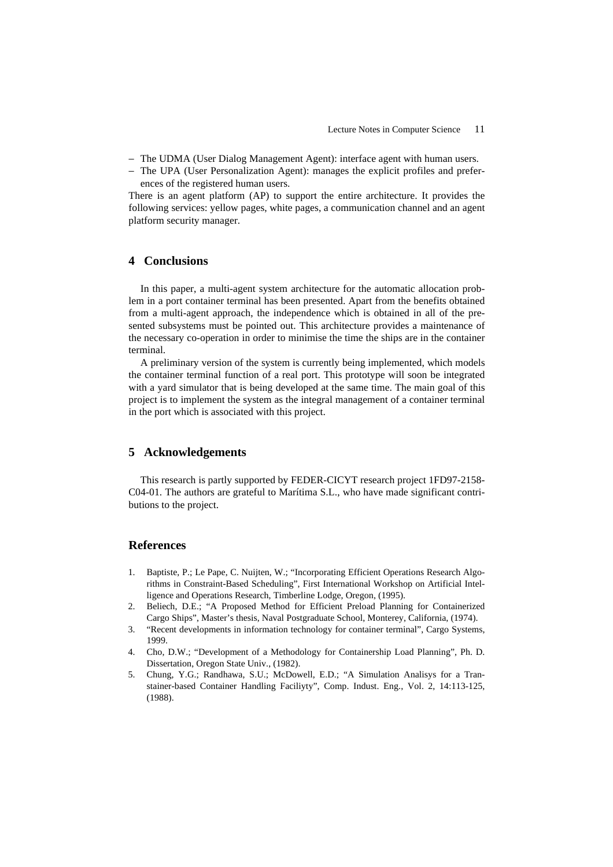- − The UDMA (User Dialog Management Agent): interface agent with human users.
- − The UPA (User Personalization Agent): manages the explicit profiles and preferences of the registered human users.

There is an agent platform (AP) to support the entire architecture. It provides the following services: yellow pages, white pages, a communication channel and an agent platform security manager.

## **4 Conclusions**

In this paper, a multi-agent system architecture for the automatic allocation problem in a port container terminal has been presented. Apart from the benefits obtained from a multi-agent approach, the independence which is obtained in all of the presented subsystems must be pointed out. This architecture provides a maintenance of the necessary co-operation in order to minimise the time the ships are in the container terminal.

A preliminary version of the system is currently being implemented, which models the container terminal function of a real port. This prototype will soon be integrated with a yard simulator that is being developed at the same time. The main goal of this project is to implement the system as the integral management of a container terminal in the port which is associated with this project.

## **5 Acknowledgements**

This research is partly supported by FEDER-CICYT research project 1FD97-2158- C04-01. The authors are grateful to Marítima S.L., who have made significant contributions to the project.

## **References**

- 1. Baptiste, P.; Le Pape, C. Nuijten, W.; "Incorporating Efficient Operations Research Algorithms in Constraint-Based Scheduling", First International Workshop on Artificial Intelligence and Operations Research, Timberline Lodge, Oregon, (1995).
- 2. Beliech, D.E.; "A Proposed Method for Efficient Preload Planning for Containerized Cargo Ships", Master's thesis, Naval Postgraduate School, Monterey, California, (1974).
- 3. "Recent developments in information technology for container terminal", Cargo Systems, 1999.
- 4. Cho, D.W.; "Development of a Methodology for Containership Load Planning", Ph. D. Dissertation, Oregon State Univ., (1982).
- 5. Chung, Y.G.; Randhawa, S.U.; McDowell, E.D.; "A Simulation Analisys for a Transtainer-based Container Handling Faciliyty", Comp. Indust. Eng., Vol. 2, 14:113-125, (1988).